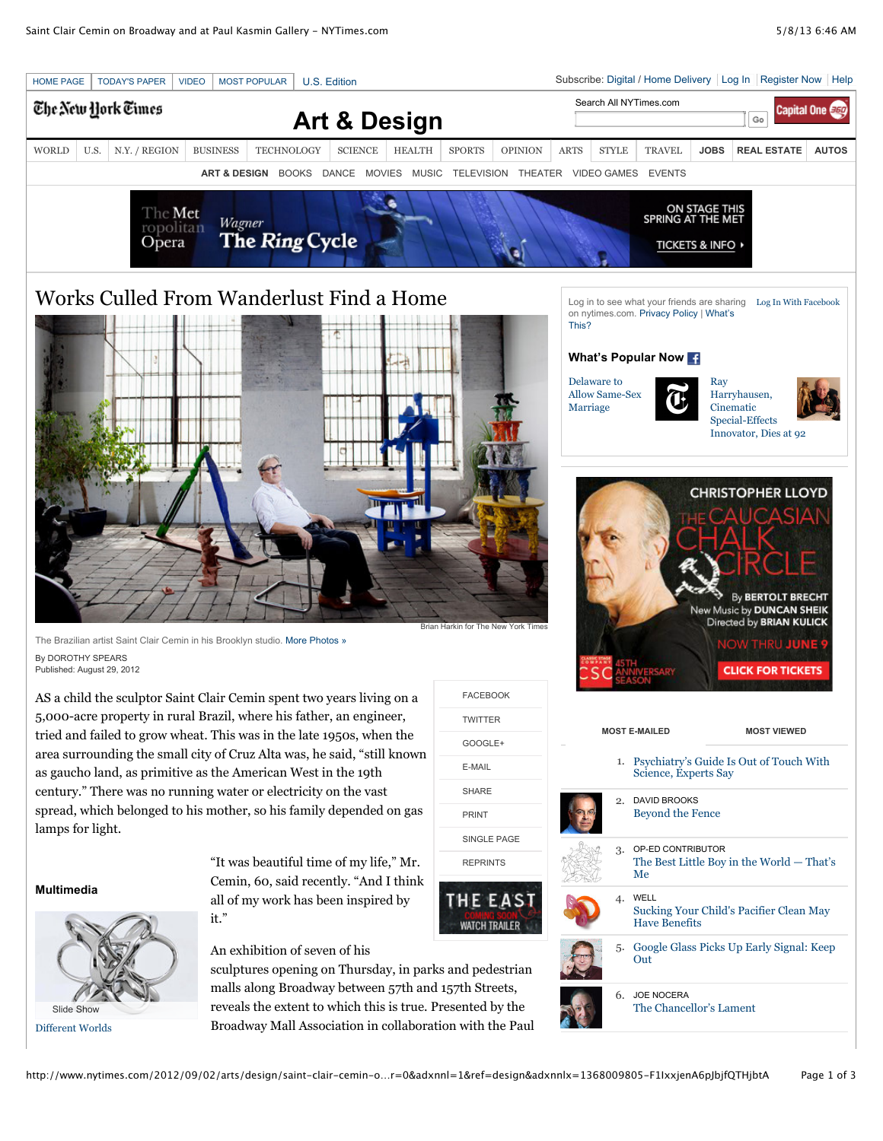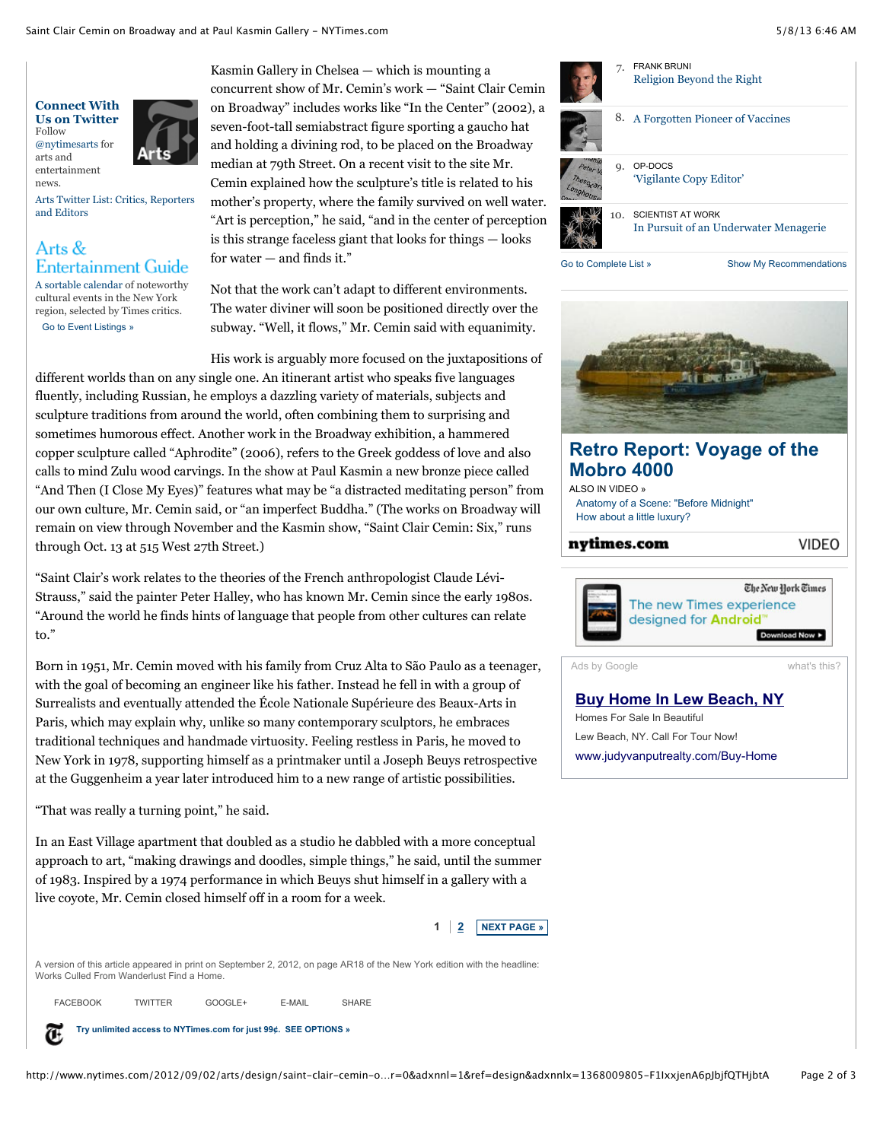

news.

[Arts Twitter List: Critics, Reporters](https://twitter.com/nytimesarts/nyt-culture/members) and Editors

## Arts & **Entertainment Guide**

[A sortable calendar](http://www.nytimes.com/events/index.html) of noteworthy cultural events in the New York region, selected by Times critics. [Go to Event Listings »](http://www.nytimes.com/events/index.html)

Kasmin Gallery in Chelsea — which is mounting a concurrent show of Mr. Cemin's work — "Saint Clair Cemin on Broadway" includes works like "In the Center" (2002), a seven-foot-tall semiabstract figure sporting a gaucho hat and holding a divining rod, to be placed on the Broadway median at 79th Street. On a recent visit to the site Mr. Cemin explained how the sculpture's title is related to his mother's property, where the family survived on well water. "Art is perception," he said, "and in the center of perception is this strange faceless giant that looks for things — looks for water  $-$  and finds it."

Not that the work can't adapt to different environments. The water diviner will soon be positioned directly over the subway. "Well, it flows," Mr. Cemin said with equanimity.

His work is arguably more focused on the juxtapositions of different worlds than on any single one. An itinerant artist who speaks five languages fluently, including Russian, he employs a dazzling variety of materials, subjects and sculpture traditions from around the world, often combining them to surprising and sometimes humorous effect. Another work in the Broadway exhibition, a hammered copper sculpture called "Aphrodite" (2006), refers to the Greek goddess of love and also calls to mind Zulu wood carvings. In the show at Paul Kasmin a new bronze piece called "And Then (I Close My Eyes)" features what may be "a distracted meditating person" from our own culture, Mr. Cemin said, or "an imperfect Buddha." (The works on Broadway will remain on view through November and the Kasmin show, "Saint Clair Cemin: Six," runs through Oct. 13 at 515 West 27th Street.)

"Saint Clair's work relates to the theories of the French anthropologist Claude Lévi-Strauss," said the painter Peter Halley, who has known Mr. Cemin since the early 1980s. "Around the world he finds hints of language that people from other cultures can relate to."

Born in 1951, Mr. Cemin moved with his family from Cruz Alta to São Paulo as a teenager, with the goal of becoming an engineer like his father. Instead he fell in with a group of Surrealists and eventually attended the École Nationale Supérieure des Beaux-Arts in Paris, which may explain why, unlike so many contemporary sculptors, he embraces traditional techniques and handmade virtuosity. Feeling restless in Paris, he moved to New York in 1978, supporting himself as a printmaker until a Joseph Beuys retrospective at the Guggenheim a year later introduced him to a new range of artistic possibilities.

"That was really a turning point," he said.

In an East Village apartment that doubled as a studio he dabbled with a more conceptual approach to art, "making drawings and doodles, simple things," he said, until the summer of 1983. Inspired by a 1974 performance in which Beuys shut himself in a gallery with a live coyote, Mr. Cemin closed himself off in a room for a week.

> **[NEXT PAGE »](http://www.nytimes.com/2012/09/02/arts/design/saint-clair-cemin-on-broadway-and-at-paul-kasmin-gallery.html?pagewanted=2&_r=0&ref=design&adxnnlx=1368009805-F1IxxjenA6pJbjfQTHjbtA) 1**  $\frac{2}{2}$  $\frac{2}{2}$  $\frac{2}{2}$

A version of this article appeared in print on September 2, 2012, on page AR18 of the New York edition with the headline: Works Culled From Wanderlust Find a Home.

FACEBOOK TWITTER GOOGLE+ E-MAIL SHARE

**[Try unlimited access to NYTimes.com for just 99¢. SEE OPTIONS »](http://www.nytimes.com/adx/bin/adx_click.html?type=goto&opzn&page=www.nytimes.com/yr/mo/day/arts/design&pos=Bottom1&sn2=f2727771/3300655d&sn1=7c3c7d4/3eeb42e0&camp=nyt2013_footer_digi_hp_ros_3JL63_ANON&ad=footer_digi_hp_ros_3JL63_ANON&goto=http%3A%2F%2Fwww%2Enytimes%2Ecom%2Fsubscriptions%2FMultiproduct%2Flp5558%2Ehtml%3Fadxc%3D212428%26adxa%3D332971%26page%3Dwww.nytimes.com/yr/mo/day/arts/design/saint-clair-cemin-on-broadway-and-at-paul-kasmin-gallery.html%26pos%3DBottom1%26campaignId%3D3JL63)** Œ



[Go to Complete List »](http://www.nytimes.com/gst/mostpopular.html) Show My Recommendations



# **[Retro Report: Voyage of the](http://www.nytimes.com/adx/bin/adx_click.html?type=goto&opzn&page=www.nytimes.com/yr/mo/day/arts/design&pos=Box1&sn2=b1cd94f8/32ba02ce&sn1=e7ae385/86848ce9&camp=nyt2013_300X250_module_Mobro_hp_ros_db_th&ad=VI-D-I-NYT-MOD-MOD-M304b-ROS-0513&goto=http://www.nytimes.com/video/2013/05/06/booming/100000002206073/voyage-of-the-mobro-4000.html%3FWT.mc_id=VI-D-I-NYT-MOD-MOD-M304b-ROS-0513-HDR%26WT.mc_ev=click%26WT.mc_c=216085) Mobro 4000**

[ALSO IN VIDEO »](http://www.nytimes.com/adx/bin/adx_click.html?type=goto&opzn&page=www.nytimes.com/yr/mo/day/arts/design&pos=Box1&sn2=b1cd94f8/32ba02ce&sn1=e7ae385/86848ce9&camp=nyt2013_300X250_module_Mobro_hp_ros_db_th&ad=VI-D-I-NYT-MOD-MOD-M304b-ROS-0513&goto=http://www.nytimes.com/video/index.html%3FWT.mc_id=VI-D-I-NYT-MOD-MOD-M304b-ROS-0513-URL%26WT.mc_ev=click%26WT.mc_c=216085) [Anatomy of a Scene: "Before Midnight"](http://www.nytimes.com/adx/bin/adx_click.html?type=goto&opzn&page=www.nytimes.com/yr/mo/day/arts/design&pos=Box1&sn2=b1cd94f8/32ba02ce&sn1=e7ae385/86848ce9&camp=nyt2013_300X250_module_Mobro_hp_ros_db_th&ad=VI-D-I-NYT-MOD-MOD-M304b-ROS-0513&goto=http://www.nytimes.com/video/2013/05/03/movies/100000002206237/anatomy-of-a-scene-before-midnight.html%3FWT.mc_id=VI-D-I-NYT-MOD-MOD-M304b-ROS-0513-L1%26WT.mc_ev=click%26WT.mc_c=216085) [How about a little luxury?](http://www.nytimes.com/adx/bin/adx_click.html?type=goto&opzn&page=www.nytimes.com/yr/mo/day/arts/design&pos=Box1&sn2=b1cd94f8/32ba02ce&sn1=e7ae385/86848ce9&camp=nyt2013_300X250_module_Mobro_hp_ros_db_th&ad=VI-D-I-NYT-MOD-MOD-M304b-ROS-0513&goto=http://www.nytimes.com/video/2013/03/28/automobiles/100000002141590/how-about-a-little-luxury.html%3FWT.mc_id=VI-D-I-NYT-MOD-MOD-M304b-ROS-0513-L2%26WT.mc_ev=click%26WT.mc_c=216085)

#### nytimes.com

**VIDEO** 



## Ads by Google [what's this?](http://www.nytimes.com/ref/membercenter/faq/linkingqa16.html)

**[Buy Home In Lew Beach, NY](http://www.googleadservices.com/pagead/aclk?sa=L&ai=CsPlL9yyKUb_3FMfT0AHb_YGgBrTYgb8D5NO8q1TAjbcBEAEgnPP4AVDchtrd-f____8BYMnGqYvApNgPoAGMo8zWA8gBAagDAaoEtgFP0HX9-1h8lvHQZuIKVkPvlNaQk41rr-Rv8alQduJHwbBpf0pokSRDYtaOGzuXIUzj2aMdtVcsGSEViEABGRYbBVbXcIOo6nrRwdaJiuOwy9f47peMQTRmgZ6LqYSJxv73DxE8xflTRVN0ufPEFDRhXHvsx9L-ePwuaZptJ6KZJ_AoRz_rwTHw0SpNbiQc5bs8b-21zPp1ux6eTzTnTt0wJEY_SyNOvVSL04vOGS1etkCy7vdTFogGAYAH3NyzKQ&num=1&cid=5GhP91x-Tvmy0HuQZ-ZX4QgB&sig=AOD64_0Y2sU3r3w8H7D35L_arQTHmsS0Gw&client=ca-nytimes_article_var&adurl=http://www.judyvanputrealty.com/Web/AR431918/Home/index/1)** Homes For Sale In Beautiful Lew Beach, NY. Call For Tour Now! [www.judyvanputrealty.com/Buy-Home](http://www.googleadservices.com/pagead/aclk?sa=L&ai=CsPlL9yyKUb_3FMfT0AHb_YGgBrTYgb8D5NO8q1TAjbcBEAEgnPP4AVDchtrd-f____8BYMnGqYvApNgPoAGMo8zWA8gBAagDAaoEtgFP0HX9-1h8lvHQZuIKVkPvlNaQk41rr-Rv8alQduJHwbBpf0pokSRDYtaOGzuXIUzj2aMdtVcsGSEViEABGRYbBVbXcIOo6nrRwdaJiuOwy9f47peMQTRmgZ6LqYSJxv73DxE8xflTRVN0ufPEFDRhXHvsx9L-ePwuaZptJ6KZJ_AoRz_rwTHw0SpNbiQc5bs8b-21zPp1ux6eTzTnTt0wJEY_SyNOvVSL04vOGS1etkCy7vdTFogGAYAH3NyzKQ&num=1&cid=5GhP91x-Tvmy0HuQZ-ZX4QgB&sig=AOD64_0Y2sU3r3w8H7D35L_arQTHmsS0Gw&client=ca-nytimes_article_var&adurl=http://www.judyvanputrealty.com/Web/AR431918/Home/index/1)